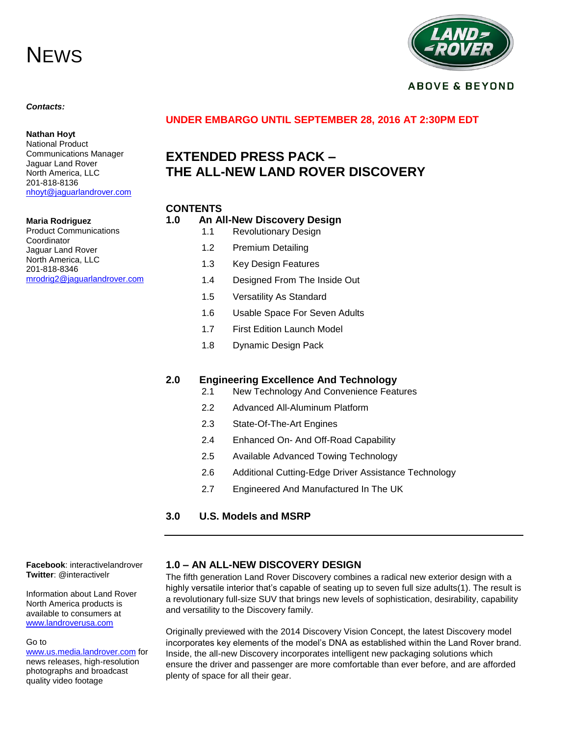# **NEWS**



#### **ABOVE & BEYOND**

#### *Contacts:*

**Nathan Hoyt** National Product

# **UNDER EMBARGO UNTIL SEPTEMBER 28, 2016 AT 2:30PM EDT**

# **EXTENDED PRESS PACK – THE ALL-NEW LAND ROVER DISCOVERY**

#### **CONTENTS**

#### **Maria Rodriguez** Product Communications Coordinator Jaguar Land Rover North America, LLC 201-818-8346 [mrodrig2@jaguarlandrover.com](mailto:mrodrig2@jaguarlandrover.com)

Communications Manager Jaguar Land Rover North America, LLC 201-818-8136

[nhoyt@jaguarlandrover.com](mailto:nhoyt@jaguarlandrover.com)

- **1.0 An All-New Discovery Design** 1.1 Revolutionary Design 1.2 Premium Detailing 1.3 Key Design Features 1.4 Designed From The Inside Out 1.5 Versatility As Standard 1.6 Usable Space For Seven Adults 1.7 First Edition Launch Model 1.8 Dynamic Design Pack **2.0 Engineering Excellence And Technology** 2.1 New Technology And Convenience Features 2.2 Advanced All-Aluminum Platform 2.3 State-Of-The-Art Engines
	- 2.4 Enhanced On- And Off-Road Capability
	- 2.5 Available Advanced Towing Technology
	- 2.6 Additional Cutting-Edge Driver Assistance Technology
	- 2.7 Engineered And Manufactured In The UK
- **3.0 U.S. Models and MSRP**

**Facebook**: interactivelandrover **Twitter**: @interactivelr

Information about Land Rover North America products is available to consumers at [www.landroverusa.com](http://www.landroverusa.com/)

#### Go to

[www.us.media.landrover.com](http://www.us.media.landrover.com/) for news releases, high-resolution photographs and broadcast quality video footage

#### **1.0 – AN ALL-NEW DISCOVERY DESIGN**

The fifth generation Land Rover Discovery combines a radical new exterior design with a highly versatile interior that's capable of seating up to seven full size adults(1). The result is a revolutionary full-size SUV that brings new levels of sophistication, desirability, capability and versatility to the Discovery family.

Originally previewed with the 2014 Discovery Vision Concept, the latest Discovery model incorporates key elements of the model's DNA as established within the Land Rover brand. Inside, the all-new Discovery incorporates intelligent new packaging solutions which ensure the driver and passenger are more comfortable than ever before, and are afforded plenty of space for all their gear.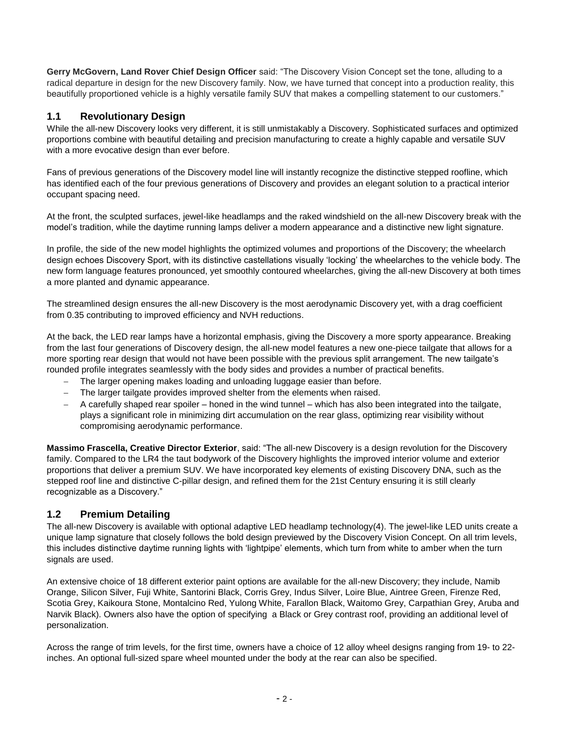**Gerry McGovern, Land Rover Chief Design Officer** said: "The Discovery Vision Concept set the tone, alluding to a radical departure in design for the new Discovery family. Now, we have turned that concept into a production reality, this beautifully proportioned vehicle is a highly versatile family SUV that makes a compelling statement to our customers."

# **1.1 Revolutionary Design**

While the all-new Discovery looks very different, it is still unmistakably a Discovery. Sophisticated surfaces and optimized proportions combine with beautiful detailing and precision manufacturing to create a highly capable and versatile SUV with a more evocative design than ever before.

Fans of previous generations of the Discovery model line will instantly recognize the distinctive stepped roofline, which has identified each of the four previous generations of Discovery and provides an elegant solution to a practical interior occupant spacing need.

At the front, the sculpted surfaces, jewel-like headlamps and the raked windshield on the all-new Discovery break with the model's tradition, while the daytime running lamps deliver a modern appearance and a distinctive new light signature.

In profile, the side of the new model highlights the optimized volumes and proportions of the Discovery; the wheelarch design echoes Discovery Sport, with its distinctive castellations visually 'locking' the wheelarches to the vehicle body. The new form language features pronounced, yet smoothly contoured wheelarches, giving the all-new Discovery at both times a more planted and dynamic appearance.

The streamlined design ensures the all-new Discovery is the most aerodynamic Discovery yet, with a drag coefficient from 0.35 contributing to improved efficiency and NVH reductions.

At the back, the LED rear lamps have a horizontal emphasis, giving the Discovery a more sporty appearance. Breaking from the last four generations of Discovery design, the all-new model features a new one-piece tailgate that allows for a more sporting rear design that would not have been possible with the previous split arrangement. The new tailgate's rounded profile integrates seamlessly with the body sides and provides a number of practical benefits.

- The larger opening makes loading and unloading luggage easier than before.
- The larger tailgate provides improved shelter from the elements when raised.
- A carefully shaped rear spoiler honed in the wind tunnel which has also been integrated into the tailgate, plays a significant role in minimizing dirt accumulation on the rear glass, optimizing rear visibility without compromising aerodynamic performance.

**Massimo Frascella, Creative Director Exterior**, said: "The all-new Discovery is a design revolution for the Discovery family. Compared to the LR4 the taut bodywork of the Discovery highlights the improved interior volume and exterior proportions that deliver a premium SUV. We have incorporated key elements of existing Discovery DNA, such as the stepped roof line and distinctive C-pillar design, and refined them for the 21st Century ensuring it is still clearly recognizable as a Discovery."

# **1.2 Premium Detailing**

The all-new Discovery is available with optional adaptive LED headlamp technology(4). The jewel-like LED units create a unique lamp signature that closely follows the bold design previewed by the Discovery Vision Concept. On all trim levels, this includes distinctive daytime running lights with 'lightpipe' elements, which turn from white to amber when the turn signals are used.

An extensive choice of 18 different exterior paint options are available for the all-new Discovery; they include, Namib Orange, Silicon Silver, Fuji White, Santorini Black, Corris Grey, Indus Silver, Loire Blue, Aintree Green, Firenze Red, Scotia Grey, Kaikoura Stone, Montalcino Red, Yulong White, Farallon Black, Waitomo Grey, Carpathian Grey, Aruba and Narvik Black). Owners also have the option of specifying a Black or Grey contrast roof, providing an additional level of personalization.

Across the range of trim levels, for the first time, owners have a choice of 12 alloy wheel designs ranging from 19- to 22 inches. An optional full-sized spare wheel mounted under the body at the rear can also be specified.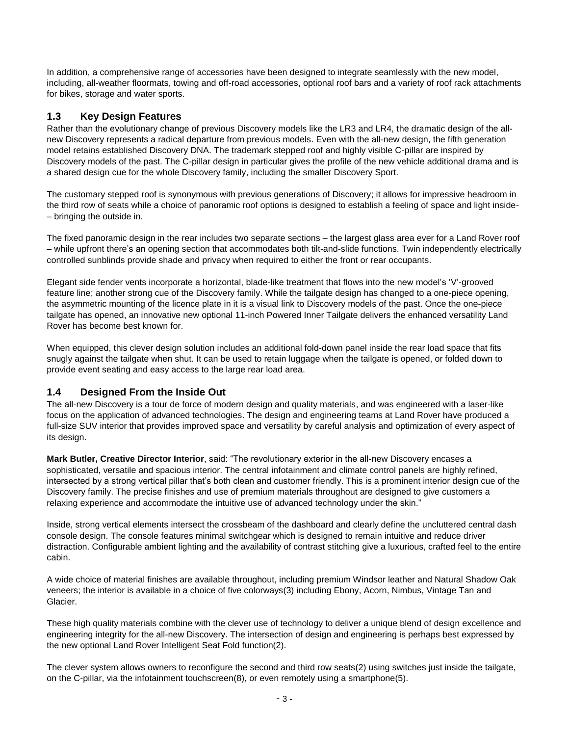In addition, a comprehensive range of accessories have been designed to integrate seamlessly with the new model, including, all-weather floormats, towing and off-road accessories, optional roof bars and a variety of roof rack attachments for bikes, storage and water sports.

# **1.3 Key Design Features**

Rather than the evolutionary change of previous Discovery models like the LR3 and LR4, the dramatic design of the allnew Discovery represents a radical departure from previous models. Even with the all-new design, the fifth generation model retains established Discovery DNA. The trademark stepped roof and highly visible C-pillar are inspired by Discovery models of the past. The C-pillar design in particular gives the profile of the new vehicle additional drama and is a shared design cue for the whole Discovery family, including the smaller Discovery Sport.

The customary stepped roof is synonymous with previous generations of Discovery; it allows for impressive headroom in the third row of seats while a choice of panoramic roof options is designed to establish a feeling of space and light inside- – bringing the outside in.

The fixed panoramic design in the rear includes two separate sections – the largest glass area ever for a Land Rover roof – while upfront there's an opening section that accommodates both tilt-and-slide functions. Twin independently electrically controlled sunblinds provide shade and privacy when required to either the front or rear occupants.

Elegant side fender vents incorporate a horizontal, blade-like treatment that flows into the new model's 'V'-grooved feature line; another strong cue of the Discovery family. While the tailgate design has changed to a one-piece opening, the asymmetric mounting of the licence plate in it is a visual link to Discovery models of the past. Once the one-piece tailgate has opened, an innovative new optional 11-inch Powered Inner Tailgate delivers the enhanced versatility Land Rover has become best known for.

When equipped, this clever design solution includes an additional fold-down panel inside the rear load space that fits snugly against the tailgate when shut. It can be used to retain luggage when the tailgate is opened, or folded down to provide event seating and easy access to the large rear load area.

# **1.4 Designed From the Inside Out**

The all-new Discovery is a tour de force of modern design and quality materials, and was engineered with a laser-like focus on the application of advanced technologies. The design and engineering teams at Land Rover have produced a full-size SUV interior that provides improved space and versatility by careful analysis and optimization of every aspect of its design.

**Mark Butler, Creative Director Interior**, said: "The revolutionary exterior in the all-new Discovery encases a sophisticated, versatile and spacious interior. The central infotainment and climate control panels are highly refined, intersected by a strong vertical pillar that's both clean and customer friendly. This is a prominent interior design cue of the Discovery family. The precise finishes and use of premium materials throughout are designed to give customers a relaxing experience and accommodate the intuitive use of advanced technology under the skin."

Inside, strong vertical elements intersect the crossbeam of the dashboard and clearly define the uncluttered central dash console design. The console features minimal switchgear which is designed to remain intuitive and reduce driver distraction. Configurable ambient lighting and the availability of contrast stitching give a luxurious, crafted feel to the entire cabin.

A wide choice of material finishes are available throughout, including premium Windsor leather and Natural Shadow Oak veneers; the interior is available in a choice of five colorways(3) including Ebony, Acorn, Nimbus, Vintage Tan and Glacier.

These high quality materials combine with the clever use of technology to deliver a unique blend of design excellence and engineering integrity for the all-new Discovery. The intersection of design and engineering is perhaps best expressed by the new optional Land Rover Intelligent Seat Fold function(2).

The clever system allows owners to reconfigure the second and third row seats(2) using switches just inside the tailgate, on the C-pillar, via the infotainment touchscreen(8), or even remotely using a smartphone(5).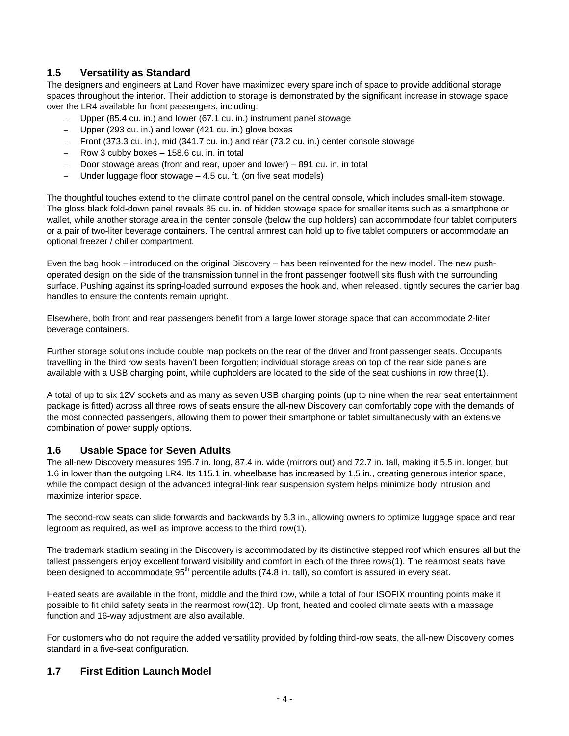# **1.5 Versatility as Standard**

The designers and engineers at Land Rover have maximized every spare inch of space to provide additional storage spaces throughout the interior. Their addiction to storage is demonstrated by the significant increase in stowage space over the LR4 available for front passengers, including:

- Upper (85.4 cu. in.) and lower (67.1 cu. in.) instrument panel stowage
- Upper (293 cu. in.) and lower (421 cu. in.) glove boxes
- Front (373.3 cu. in.), mid (341.7 cu. in.) and rear (73.2 cu. in.) center console stowage
- Row 3 cubby boxes 158.6 cu. in. in total
- Door stowage areas (front and rear, upper and lower) 891 cu. in. in total
- Under luggage floor stowage 4.5 cu. ft. (on five seat models)

The thoughtful touches extend to the climate control panel on the central console, which includes small-item stowage. The gloss black fold-down panel reveals 85 cu. in. of hidden stowage space for smaller items such as a smartphone or wallet, while another storage area in the center console (below the cup holders) can accommodate four tablet computers or a pair of two-liter beverage containers. The central armrest can hold up to five tablet computers or accommodate an optional freezer / chiller compartment.

Even the bag hook – introduced on the original Discovery – has been reinvented for the new model. The new pushoperated design on the side of the transmission tunnel in the front passenger footwell sits flush with the surrounding surface. Pushing against its spring-loaded surround exposes the hook and, when released, tightly secures the carrier bag handles to ensure the contents remain upright.

Elsewhere, both front and rear passengers benefit from a large lower storage space that can accommodate 2-liter beverage containers.

Further storage solutions include double map pockets on the rear of the driver and front passenger seats. Occupants travelling in the third row seats haven't been forgotten; individual storage areas on top of the rear side panels are available with a USB charging point, while cupholders are located to the side of the seat cushions in row three(1).

A total of up to six 12V sockets and as many as seven USB charging points (up to nine when the rear seat entertainment package is fitted) across all three rows of seats ensure the all-new Discovery can comfortably cope with the demands of the most connected passengers, allowing them to power their smartphone or tablet simultaneously with an extensive combination of power supply options.

#### **1.6 Usable Space for Seven Adults**

The all-new Discovery measures 195.7 in. long, 87.4 in. wide (mirrors out) and 72.7 in. tall, making it 5.5 in. longer, but 1.6 in lower than the outgoing LR4. Its 115.1 in. wheelbase has increased by 1.5 in., creating generous interior space, while the compact design of the advanced integral-link rear suspension system helps minimize body intrusion and maximize interior space.

The second-row seats can slide forwards and backwards by 6.3 in., allowing owners to optimize luggage space and rear legroom as required, as well as improve access to the third row(1).

The trademark stadium seating in the Discovery is accommodated by its distinctive stepped roof which ensures all but the tallest passengers enjoy excellent forward visibility and comfort in each of the three rows(1). The rearmost seats have been designed to accommodate 95<sup>th</sup> percentile adults (74.8 in. tall), so comfort is assured in every seat.

Heated seats are available in the front, middle and the third row, while a total of four ISOFIX mounting points make it possible to fit child safety seats in the rearmost row(12). Up front, heated and cooled climate seats with a massage function and 16-way adjustment are also available.

For customers who do not require the added versatility provided by folding third-row seats, the all-new Discovery comes standard in a five-seat configuration.

# **1.7 First Edition Launch Model**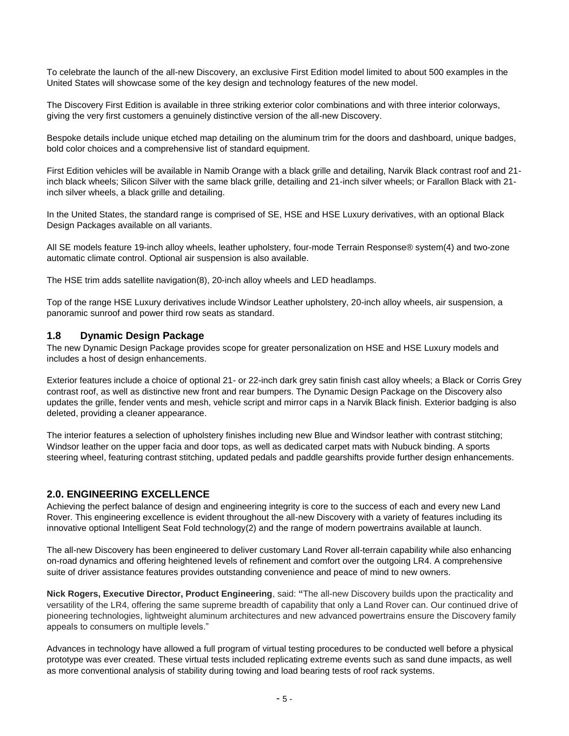To celebrate the launch of the all-new Discovery, an exclusive First Edition model limited to about 500 examples in the United States will showcase some of the key design and technology features of the new model.

The Discovery First Edition is available in three striking exterior color combinations and with three interior colorways, giving the very first customers a genuinely distinctive version of the all-new Discovery.

Bespoke details include unique etched map detailing on the aluminum trim for the doors and dashboard, unique badges, bold color choices and a comprehensive list of standard equipment.

First Edition vehicles will be available in Namib Orange with a black grille and detailing, Narvik Black contrast roof and 21 inch black wheels; Silicon Silver with the same black grille, detailing and 21-inch silver wheels; or Farallon Black with 21 inch silver wheels, a black grille and detailing.

In the United States, the standard range is comprised of SE, HSE and HSE Luxury derivatives, with an optional Black Design Packages available on all variants.

All SE models feature 19-inch alloy wheels, leather upholstery, four-mode Terrain Response® system(4) and two-zone automatic climate control. Optional air suspension is also available.

The HSE trim adds satellite navigation(8), 20-inch alloy wheels and LED headlamps.

Top of the range HSE Luxury derivatives include Windsor Leather upholstery, 20-inch alloy wheels, air suspension, a panoramic sunroof and power third row seats as standard.

#### **1.8 Dynamic Design Package**

The new Dynamic Design Package provides scope for greater personalization on HSE and HSE Luxury models and includes a host of design enhancements.

Exterior features include a choice of optional 21- or 22-inch dark grey satin finish cast alloy wheels; a Black or Corris Grey contrast roof, as well as distinctive new front and rear bumpers. The Dynamic Design Package on the Discovery also updates the grille, fender vents and mesh, vehicle script and mirror caps in a Narvik Black finish. Exterior badging is also deleted, providing a cleaner appearance.

The interior features a selection of upholstery finishes including new Blue and Windsor leather with contrast stitching; Windsor leather on the upper facia and door tops, as well as dedicated carpet mats with Nubuck binding. A sports steering wheel, featuring contrast stitching, updated pedals and paddle gearshifts provide further design enhancements.

#### **2.0. ENGINEERING EXCELLENCE**

Achieving the perfect balance of design and engineering integrity is core to the success of each and every new Land Rover. This engineering excellence is evident throughout the all-new Discovery with a variety of features including its innovative optional Intelligent Seat Fold technology(2) and the range of modern powertrains available at launch.

The all-new Discovery has been engineered to deliver customary Land Rover all-terrain capability while also enhancing on-road dynamics and offering heightened levels of refinement and comfort over the outgoing LR4. A comprehensive suite of driver assistance features provides outstanding convenience and peace of mind to new owners.

**Nick Rogers, Executive Director, Product Engineering**, said: **"**The all-new Discovery builds upon the practicality and versatility of the LR4, offering the same supreme breadth of capability that only a Land Rover can. Our continued drive of pioneering technologies, lightweight aluminum architectures and new advanced powertrains ensure the Discovery family appeals to consumers on multiple levels."

Advances in technology have allowed a full program of virtual testing procedures to be conducted well before a physical prototype was ever created. These virtual tests included replicating extreme events such as sand dune impacts, as well as more conventional analysis of stability during towing and load bearing tests of roof rack systems.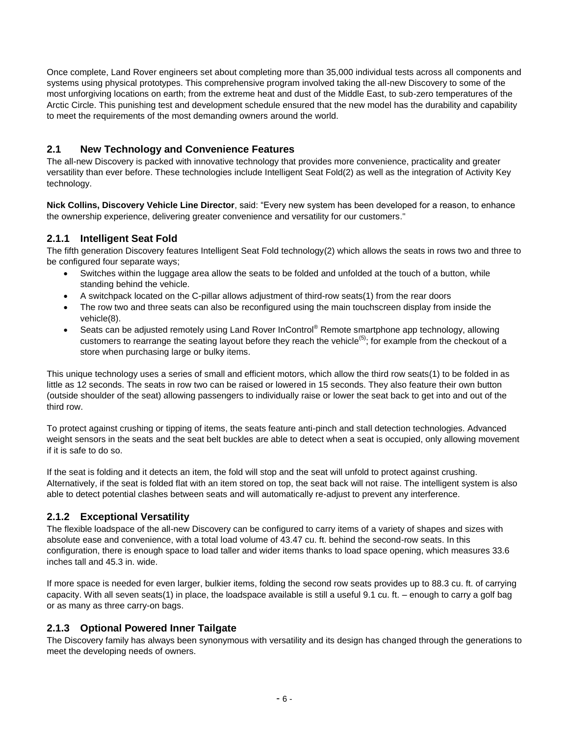Once complete, Land Rover engineers set about completing more than 35,000 individual tests across all components and systems using physical prototypes. This comprehensive program involved taking the all-new Discovery to some of the most unforgiving locations on earth; from the extreme heat and dust of the Middle East, to sub-zero temperatures of the Arctic Circle. This punishing test and development schedule ensured that the new model has the durability and capability to meet the requirements of the most demanding owners around the world.

# **2.1 New Technology and Convenience Features**

The all-new Discovery is packed with innovative technology that provides more convenience, practicality and greater versatility than ever before. These technologies include Intelligent Seat Fold(2) as well as the integration of Activity Key technology.

**Nick Collins, Discovery Vehicle Line Director**, said: "Every new system has been developed for a reason, to enhance the ownership experience, delivering greater convenience and versatility for our customers."

# **2.1.1 Intelligent Seat Fold**

The fifth generation Discovery features Intelligent Seat Fold technology(2) which allows the seats in rows two and three to be configured four separate ways;

- Switches within the luggage area allow the seats to be folded and unfolded at the touch of a button, while standing behind the vehicle.
- A switchpack located on the C-pillar allows adjustment of third-row seats(1) from the rear doors
- The row two and three seats can also be reconfigured using the main touchscreen display from inside the vehicle(8).
- Seats can be adjusted remotely using Land Rover InControl<sup>®</sup> Remote smartphone app technology, allowing customers to rearrange the seating layout before they reach the vehicle<sup>(5)</sup>; for example from the checkout of a store when purchasing large or bulky items.

This unique technology uses a series of small and efficient motors, which allow the third row seats(1) to be folded in as little as 12 seconds. The seats in row two can be raised or lowered in 15 seconds. They also feature their own button (outside shoulder of the seat) allowing passengers to individually raise or lower the seat back to get into and out of the third row.

To protect against crushing or tipping of items, the seats feature anti-pinch and stall detection technologies. Advanced weight sensors in the seats and the seat belt buckles are able to detect when a seat is occupied, only allowing movement if it is safe to do so.

If the seat is folding and it detects an item, the fold will stop and the seat will unfold to protect against crushing. Alternatively, if the seat is folded flat with an item stored on top, the seat back will not raise. The intelligent system is also able to detect potential clashes between seats and will automatically re-adjust to prevent any interference.

# **2.1.2 Exceptional Versatility**

The flexible loadspace of the all-new Discovery can be configured to carry items of a variety of shapes and sizes with absolute ease and convenience, with a total load volume of 43.47 cu. ft. behind the second-row seats. In this configuration, there is enough space to load taller and wider items thanks to load space opening, which measures 33.6 inches tall and 45.3 in. wide.

If more space is needed for even larger, bulkier items, folding the second row seats provides up to 88.3 cu. ft. of carrying capacity. With all seven seats(1) in place, the loadspace available is still a useful 9.1 cu. ft. – enough to carry a golf bag or as many as three carry-on bags.

# **2.1.3 Optional Powered Inner Tailgate**

The Discovery family has always been synonymous with versatility and its design has changed through the generations to meet the developing needs of owners.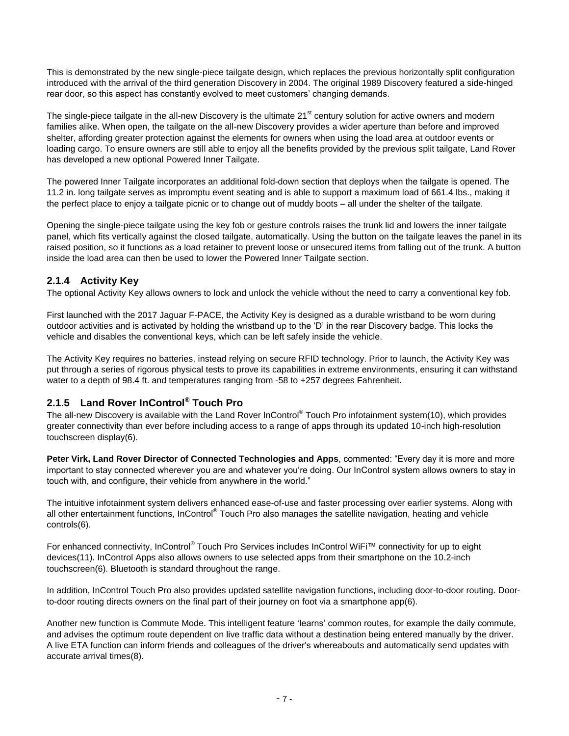This is demonstrated by the new single-piece tailgate design, which replaces the previous horizontally split configuration introduced with the arrival of the third generation Discovery in 2004. The original 1989 Discovery featured a side-hinged rear door, so this aspect has constantly evolved to meet customers' changing demands.

The single-piece tailgate in the all-new Discovery is the ultimate  $21<sup>st</sup>$  century solution for active owners and modern families alike. When open, the tailgate on the all-new Discovery provides a wider aperture than before and improved shelter, affording greater protection against the elements for owners when using the load area at outdoor events or loading cargo. To ensure owners are still able to enjoy all the benefits provided by the previous split tailgate, Land Rover has developed a new optional Powered Inner Tailgate.

The powered Inner Tailgate incorporates an additional fold-down section that deploys when the tailgate is opened. The 11.2 in. long tailgate serves as impromptu event seating and is able to support a maximum load of 661.4 lbs., making it the perfect place to enjoy a tailgate picnic or to change out of muddy boots – all under the shelter of the tailgate.

Opening the single-piece tailgate using the key fob or gesture controls raises the trunk lid and lowers the inner tailgate panel, which fits vertically against the closed tailgate, automatically. Using the button on the tailgate leaves the panel in its raised position, so it functions as a load retainer to prevent loose or unsecured items from falling out of the trunk. A button inside the load area can then be used to lower the Powered Inner Tailgate section.

# **2.1.4 Activity Key**

The optional Activity Key allows owners to lock and unlock the vehicle without the need to carry a conventional key fob.

First launched with the 2017 Jaguar F-PACE, the Activity Key is designed as a durable wristband to be worn during outdoor activities and is activated by holding the wristband up to the 'D' in the rear Discovery badge. This locks the vehicle and disables the conventional keys, which can be left safely inside the vehicle.

The Activity Key requires no batteries, instead relying on secure RFID technology. Prior to launch, the Activity Key was put through a series of rigorous physical tests to prove its capabilities in extreme environments, ensuring it can withstand water to a depth of 98.4 ft. and temperatures ranging from -58 to +257 degrees Fahrenheit.

# **2.1.5 Land Rover InControl® Touch Pro**

The all-new Discovery is available with the Land Rover InControl® Touch Pro infotainment system(10), which provides greater connectivity than ever before including access to a range of apps through its updated 10-inch high-resolution touchscreen display(6).

**Peter Virk, Land Rover Director of Connected Technologies and Apps**, commented: "Every day it is more and more important to stay connected wherever you are and whatever you're doing. Our InControl system allows owners to stay in touch with, and configure, their vehicle from anywhere in the world."

The intuitive infotainment system delivers enhanced ease-of-use and faster processing over earlier systems. Along with all other entertainment functions, InControl® Touch Pro also manages the satellite navigation, heating and vehicle controls(6).

For enhanced connectivity, InControl® Touch Pro Services includes InControl WiFi™ connectivity for up to eight devices(11). InControl Apps also allows owners to use selected apps from their smartphone on the 10.2-inch touchscreen(6). Bluetooth is standard throughout the range.

In addition, InControl Touch Pro also provides updated satellite navigation functions, including door-to-door routing. Doorto-door routing directs owners on the final part of their journey on foot via a smartphone app(6).

Another new function is Commute Mode. This intelligent feature 'learns' common routes, for example the daily commute, and advises the optimum route dependent on live traffic data without a destination being entered manually by the driver. A live ETA function can inform friends and colleagues of the driver's whereabouts and automatically send updates with accurate arrival times(8).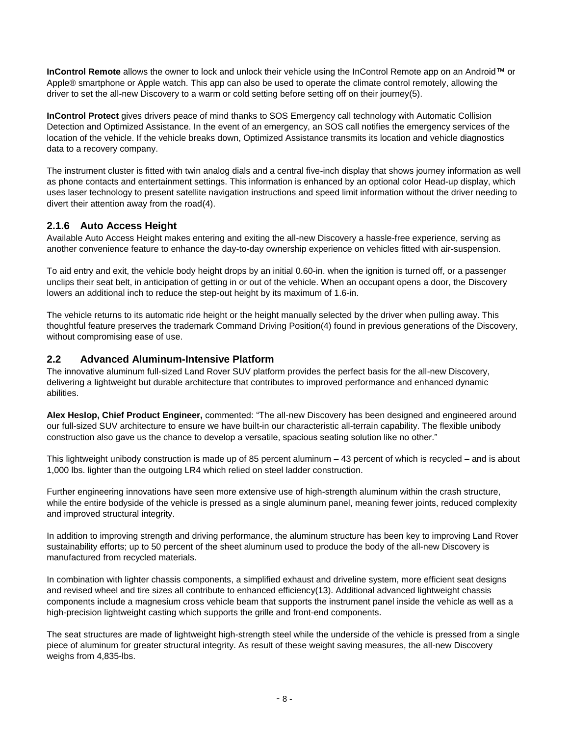**InControl Remote** allows the owner to lock and unlock their vehicle using the InControl Remote app on an Android™ or Apple® smartphone or Apple watch. This app can also be used to operate the climate control remotely, allowing the driver to set the all-new Discovery to a warm or cold setting before setting off on their journey(5).

**InControl Protect** gives drivers peace of mind thanks to SOS Emergency call technology with Automatic Collision Detection and Optimized Assistance. In the event of an emergency, an SOS call notifies the emergency services of the location of the vehicle. If the vehicle breaks down, Optimized Assistance transmits its location and vehicle diagnostics data to a recovery company.

The instrument cluster is fitted with twin analog dials and a central five-inch display that shows journey information as well as phone contacts and entertainment settings. This information is enhanced by an optional color Head-up display, which uses laser technology to present satellite navigation instructions and speed limit information without the driver needing to divert their attention away from the road(4).

# **2.1.6 Auto Access Height**

Available Auto Access Height makes entering and exiting the all-new Discovery a hassle-free experience, serving as another convenience feature to enhance the day-to-day ownership experience on vehicles fitted with air-suspension.

To aid entry and exit, the vehicle body height drops by an initial 0.60-in. when the ignition is turned off, or a passenger unclips their seat belt, in anticipation of getting in or out of the vehicle. When an occupant opens a door, the Discovery lowers an additional inch to reduce the step-out height by its maximum of 1.6-in.

The vehicle returns to its automatic ride height or the height manually selected by the driver when pulling away. This thoughtful feature preserves the trademark Command Driving Position(4) found in previous generations of the Discovery, without compromising ease of use.

# **2.2 Advanced Aluminum-Intensive Platform**

The innovative aluminum full-sized Land Rover SUV platform provides the perfect basis for the all-new Discovery, delivering a lightweight but durable architecture that contributes to improved performance and enhanced dynamic abilities.

**Alex Heslop, Chief Product Engineer,** commented: "The all-new Discovery has been designed and engineered around our full-sized SUV architecture to ensure we have built-in our characteristic all-terrain capability. The flexible unibody construction also gave us the chance to develop a versatile, spacious seating solution like no other."

This lightweight unibody construction is made up of 85 percent aluminum – 43 percent of which is recycled – and is about 1,000 lbs. lighter than the outgoing LR4 which relied on steel ladder construction.

Further engineering innovations have seen more extensive use of high-strength aluminum within the crash structure, while the entire bodyside of the vehicle is pressed as a single aluminum panel, meaning fewer joints, reduced complexity and improved structural integrity.

In addition to improving strength and driving performance, the aluminum structure has been key to improving Land Rover sustainability efforts; up to 50 percent of the sheet aluminum used to produce the body of the all-new Discovery is manufactured from recycled materials.

In combination with lighter chassis components, a simplified exhaust and driveline system, more efficient seat designs and revised wheel and tire sizes all contribute to enhanced efficiency(13). Additional advanced lightweight chassis components include a magnesium cross vehicle beam that supports the instrument panel inside the vehicle as well as a high-precision lightweight casting which supports the grille and front-end components.

The seat structures are made of lightweight high-strength steel while the underside of the vehicle is pressed from a single piece of aluminum for greater structural integrity. As result of these weight saving measures, the all-new Discovery weighs from 4,835-lbs.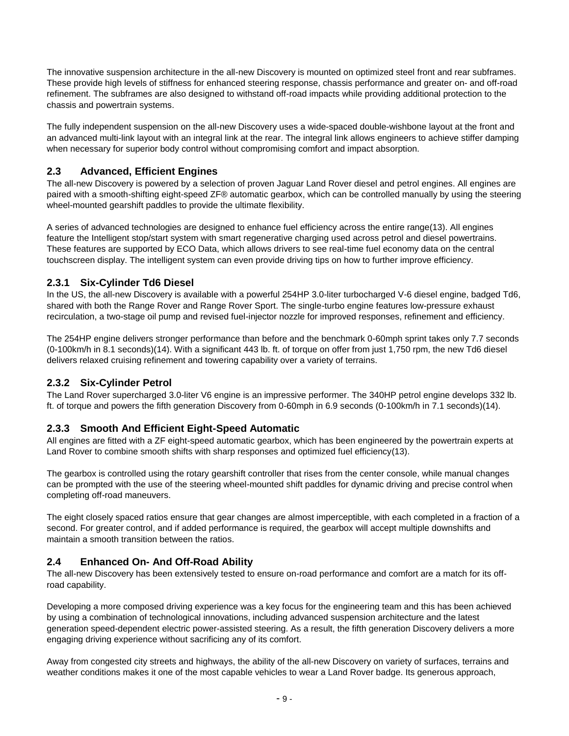The innovative suspension architecture in the all-new Discovery is mounted on optimized steel front and rear subframes. These provide high levels of stiffness for enhanced steering response, chassis performance and greater on- and off-road refinement. The subframes are also designed to withstand off-road impacts while providing additional protection to the chassis and powertrain systems.

The fully independent suspension on the all-new Discovery uses a wide-spaced double-wishbone layout at the front and an advanced multi-link layout with an integral link at the rear. The integral link allows engineers to achieve stiffer damping when necessary for superior body control without compromising comfort and impact absorption.

# **2.3 Advanced, Efficient Engines**

The all-new Discovery is powered by a selection of proven Jaguar Land Rover diesel and petrol engines. All engines are paired with a smooth-shifting eight-speed ZF® automatic gearbox, which can be controlled manually by using the steering wheel-mounted gearshift paddles to provide the ultimate flexibility.

A series of advanced technologies are designed to enhance fuel efficiency across the entire range(13). All engines feature the Intelligent stop/start system with smart regenerative charging used across petrol and diesel powertrains. These features are supported by ECO Data, which allows drivers to see real-time fuel economy data on the central touchscreen display. The intelligent system can even provide driving tips on how to further improve efficiency.

# **2.3.1 Six-Cylinder Td6 Diesel**

In the US, the all-new Discovery is available with a powerful 254HP 3.0-liter turbocharged V-6 diesel engine, badged Td6, shared with both the Range Rover and Range Rover Sport. The single-turbo engine features low-pressure exhaust recirculation, a two-stage oil pump and revised fuel-injector nozzle for improved responses, refinement and efficiency.

The 254HP engine delivers stronger performance than before and the benchmark 0-60mph sprint takes only 7.7 seconds (0-100km/h in 8.1 seconds)(14). With a significant 443 lb. ft. of torque on offer from just 1,750 rpm, the new Td6 diesel delivers relaxed cruising refinement and towering capability over a variety of terrains.

# **2.3.2 Six-Cylinder Petrol**

The Land Rover supercharged 3.0-liter V6 engine is an impressive performer. The 340HP petrol engine develops 332 lb. ft. of torque and powers the fifth generation Discovery from 0-60mph in 6.9 seconds (0-100km/h in 7.1 seconds)(14).

# **2.3.3 Smooth And Efficient Eight-Speed Automatic**

All engines are fitted with a ZF eight-speed automatic gearbox, which has been engineered by the powertrain experts at Land Rover to combine smooth shifts with sharp responses and optimized fuel efficiency(13).

The gearbox is controlled using the rotary gearshift controller that rises from the center console, while manual changes can be prompted with the use of the steering wheel-mounted shift paddles for dynamic driving and precise control when completing off-road maneuvers.

The eight closely spaced ratios ensure that gear changes are almost imperceptible, with each completed in a fraction of a second. For greater control, and if added performance is required, the gearbox will accept multiple downshifts and maintain a smooth transition between the ratios.

# **2.4 Enhanced On- And Off-Road Ability**

The all-new Discovery has been extensively tested to ensure on-road performance and comfort are a match for its offroad capability.

Developing a more composed driving experience was a key focus for the engineering team and this has been achieved by using a combination of technological innovations, including advanced suspension architecture and the latest generation speed-dependent electric power-assisted steering. As a result, the fifth generation Discovery delivers a more engaging driving experience without sacrificing any of its comfort.

Away from congested city streets and highways, the ability of the all-new Discovery on variety of surfaces, terrains and weather conditions makes it one of the most capable vehicles to wear a Land Rover badge. Its generous approach,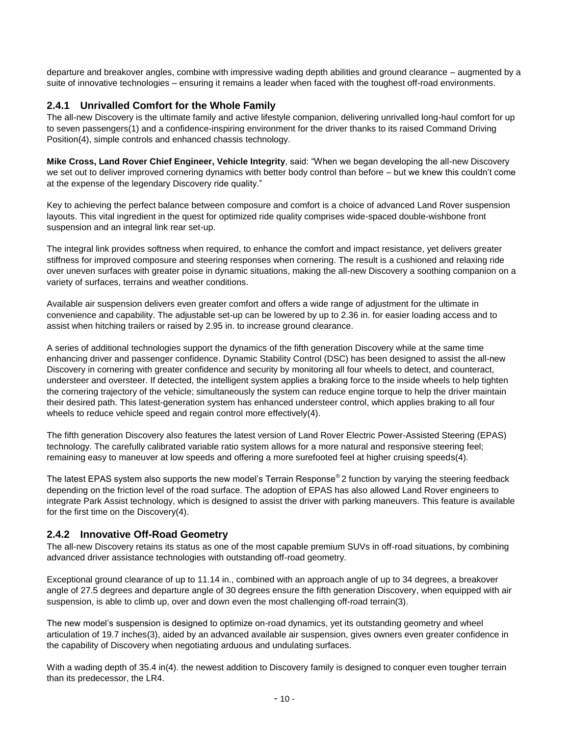departure and breakover angles, combine with impressive wading depth abilities and ground clearance – augmented by a suite of innovative technologies – ensuring it remains a leader when faced with the toughest off-road environments.

# **2.4.1 Unrivalled Comfort for the Whole Family**

The all-new Discovery is the ultimate family and active lifestyle companion, delivering unrivalled long-haul comfort for up to seven passengers(1) and a confidence-inspiring environment for the driver thanks to its raised Command Driving Position(4), simple controls and enhanced chassis technology.

**Mike Cross, Land Rover Chief Engineer, Vehicle Integrity**, said: "When we began developing the all-new Discovery we set out to deliver improved cornering dynamics with better body control than before – but we knew this couldn't come at the expense of the legendary Discovery ride quality."

Key to achieving the perfect balance between composure and comfort is a choice of advanced Land Rover suspension layouts. This vital ingredient in the quest for optimized ride quality comprises wide-spaced double-wishbone front suspension and an integral link rear set-up.

The integral link provides softness when required, to enhance the comfort and impact resistance, yet delivers greater stiffness for improved composure and steering responses when cornering. The result is a cushioned and relaxing ride over uneven surfaces with greater poise in dynamic situations, making the all-new Discovery a soothing companion on a variety of surfaces, terrains and weather conditions.

Available air suspension delivers even greater comfort and offers a wide range of adjustment for the ultimate in convenience and capability. The adjustable set-up can be lowered by up to 2.36 in. for easier loading access and to assist when hitching trailers or raised by 2.95 in. to increase ground clearance.

A series of additional technologies support the dynamics of the fifth generation Discovery while at the same time enhancing driver and passenger confidence. Dynamic Stability Control (DSC) has been designed to assist the all-new Discovery in cornering with greater confidence and security by monitoring all four wheels to detect, and counteract, understeer and oversteer. If detected, the intelligent system applies a braking force to the inside wheels to help tighten the cornering trajectory of the vehicle; simultaneously the system can reduce engine torque to help the driver maintain their desired path. This latest-generation system has enhanced understeer control, which applies braking to all four wheels to reduce vehicle speed and regain control more effectively(4).

The fifth generation Discovery also features the latest version of Land Rover Electric Power-Assisted Steering (EPAS) technology. The carefully calibrated variable ratio system allows for a more natural and responsive steering feel; remaining easy to maneuver at low speeds and offering a more surefooted feel at higher cruising speeds(4).

The latest EPAS system also supports the new model's Terrain Response® 2 function by varying the steering feedback depending on the friction level of the road surface. The adoption of EPAS has also allowed Land Rover engineers to integrate Park Assist technology, which is designed to assist the driver with parking maneuvers. This feature is available for the first time on the Discovery(4).

# **2.4.2 Innovative Off-Road Geometry**

The all-new Discovery retains its status as one of the most capable premium SUVs in off-road situations, by combining advanced driver assistance technologies with outstanding off-road geometry.

Exceptional ground clearance of up to 11.14 in., combined with an approach angle of up to 34 degrees, a breakover angle of 27.5 degrees and departure angle of 30 degrees ensure the fifth generation Discovery, when equipped with air suspension, is able to climb up, over and down even the most challenging off-road terrain(3).

The new model's suspension is designed to optimize on-road dynamics, yet its outstanding geometry and wheel articulation of 19.7 inches(3), aided by an advanced available air suspension, gives owners even greater confidence in the capability of Discovery when negotiating arduous and undulating surfaces.

With a wading depth of 35.4 in(4). the newest addition to Discovery family is designed to conquer even tougher terrain than its predecessor, the LR4.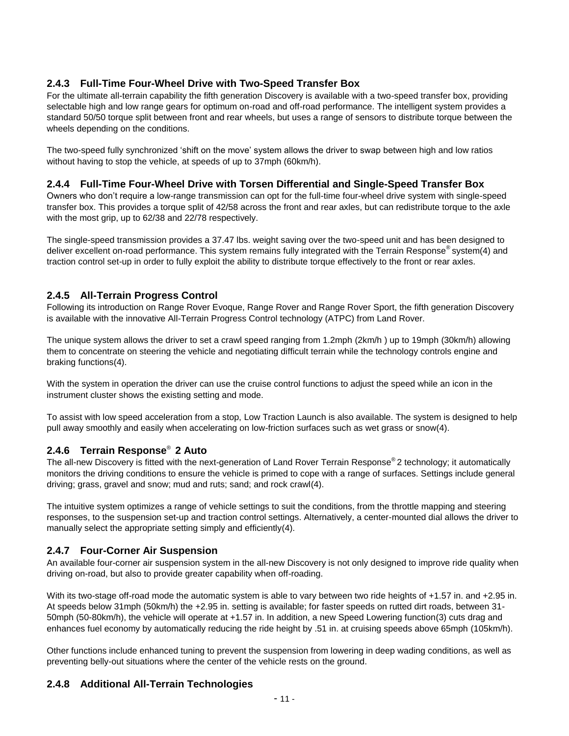# **2.4.3 Full-Time Four-Wheel Drive with Two-Speed Transfer Box**

For the ultimate all-terrain capability the fifth generation Discovery is available with a two-speed transfer box, providing selectable high and low range gears for optimum on-road and off-road performance. The intelligent system provides a standard 50/50 torque split between front and rear wheels, but uses a range of sensors to distribute torque between the wheels depending on the conditions.

The two-speed fully synchronized 'shift on the move' system allows the driver to swap between high and low ratios without having to stop the vehicle, at speeds of up to 37mph (60km/h).

#### **2.4.4 Full-Time Four-Wheel Drive with Torsen Differential and Single-Speed Transfer Box**

Owners who don't require a low-range transmission can opt for the full-time four-wheel drive system with single-speed transfer box. This provides a torque split of 42/58 across the front and rear axles, but can redistribute torque to the axle with the most grip, up to 62/38 and 22/78 respectively.

The single-speed transmission provides a 37.47 lbs. weight saving over the two-speed unit and has been designed to deliver excellent on-road performance. This system remains fully integrated with the Terrain Response® system(4) and traction control set-up in order to fully exploit the ability to distribute torque effectively to the front or rear axles.

# **2.4.5 All-Terrain Progress Control**

Following its introduction on Range Rover Evoque, Range Rover and Range Rover Sport, the fifth generation Discovery is available with the innovative All-Terrain Progress Control technology (ATPC) from Land Rover.

The unique system allows the driver to set a crawl speed ranging from 1.2mph (2km/h ) up to 19mph (30km/h) allowing them to concentrate on steering the vehicle and negotiating difficult terrain while the technology controls engine and braking functions(4).

With the system in operation the driver can use the cruise control functions to adjust the speed while an icon in the instrument cluster shows the existing setting and mode.

To assist with low speed acceleration from a stop, Low Traction Launch is also available. The system is designed to help pull away smoothly and easily when accelerating on low-friction surfaces such as wet grass or snow(4).

# **2.4.6 Terrain Response**® **2 Auto**

The all-new Discovery is fitted with the next-generation of Land Rover Terrain Response® 2 technology; it automatically monitors the driving conditions to ensure the vehicle is primed to cope with a range of surfaces. Settings include general driving; grass, gravel and snow; mud and ruts; sand; and rock crawl(4).

The intuitive system optimizes a range of vehicle settings to suit the conditions, from the throttle mapping and steering responses, to the suspension set-up and traction control settings. Alternatively, a center-mounted dial allows the driver to manually select the appropriate setting simply and efficiently(4).

# **2.4.7 Four-Corner Air Suspension**

An available four-corner air suspension system in the all-new Discovery is not only designed to improve ride quality when driving on-road, but also to provide greater capability when off-roading.

With its two-stage off-road mode the automatic system is able to vary between two ride heights of +1.57 in. and +2.95 in. At speeds below 31mph (50km/h) the +2.95 in. setting is available; for faster speeds on rutted dirt roads, between 31- 50mph (50-80km/h), the vehicle will operate at +1.57 in. In addition, a new Speed Lowering function(3) cuts drag and enhances fuel economy by automatically reducing the ride height by .51 in. at cruising speeds above 65mph (105km/h).

Other functions include enhanced tuning to prevent the suspension from lowering in deep wading conditions, as well as preventing belly-out situations where the center of the vehicle rests on the ground.

# **2.4.8 Additional All-Terrain Technologies**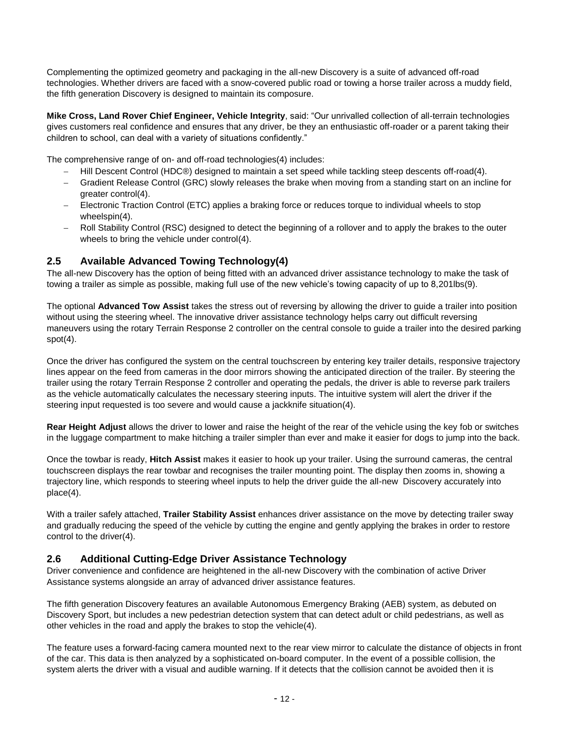Complementing the optimized geometry and packaging in the all-new Discovery is a suite of advanced off-road technologies. Whether drivers are faced with a snow-covered public road or towing a horse trailer across a muddy field, the fifth generation Discovery is designed to maintain its composure.

**Mike Cross, Land Rover Chief Engineer, Vehicle Integrity**, said: "Our unrivalled collection of all-terrain technologies gives customers real confidence and ensures that any driver, be they an enthusiastic off-roader or a parent taking their children to school, can deal with a variety of situations confidently."

The comprehensive range of on- and off-road technologies(4) includes:

- Hill Descent Control (HDC®) designed to maintain a set speed while tackling steep descents off-road(4).
- Gradient Release Control (GRC) slowly releases the brake when moving from a standing start on an incline for greater control(4).
- Electronic Traction Control (ETC) applies a braking force or reduces torque to individual wheels to stop wheelspin(4).
- Roll Stability Control (RSC) designed to detect the beginning of a rollover and to apply the brakes to the outer wheels to bring the vehicle under control(4).

# **2.5 Available Advanced Towing Technology(4)**

The all-new Discovery has the option of being fitted with an advanced driver assistance technology to make the task of towing a trailer as simple as possible, making full use of the new vehicle's towing capacity of up to 8,201lbs(9).

The optional **Advanced Tow Assist** takes the stress out of reversing by allowing the driver to guide a trailer into position without using the steering wheel. The innovative driver assistance technology helps carry out difficult reversing maneuvers using the rotary Terrain Response 2 controller on the central console to guide a trailer into the desired parking  $spot(4)$ .

Once the driver has configured the system on the central touchscreen by entering key trailer details, responsive trajectory lines appear on the feed from cameras in the door mirrors showing the anticipated direction of the trailer. By steering the trailer using the rotary Terrain Response 2 controller and operating the pedals, the driver is able to reverse park trailers as the vehicle automatically calculates the necessary steering inputs. The intuitive system will alert the driver if the steering input requested is too severe and would cause a jackknife situation(4).

**Rear Height Adjust** allows the driver to lower and raise the height of the rear of the vehicle using the key fob or switches in the luggage compartment to make hitching a trailer simpler than ever and make it easier for dogs to jump into the back.

Once the towbar is ready, **Hitch Assist** makes it easier to hook up your trailer. Using the surround cameras, the central touchscreen displays the rear towbar and recognises the trailer mounting point. The display then zooms in, showing a trajectory line, which responds to steering wheel inputs to help the driver guide the all-new Discovery accurately into place(4).

With a trailer safely attached, **Trailer Stability Assist** enhances driver assistance on the move by detecting trailer sway and gradually reducing the speed of the vehicle by cutting the engine and gently applying the brakes in order to restore control to the driver(4).

# **2.6 Additional Cutting-Edge Driver Assistance Technology**

Driver convenience and confidence are heightened in the all-new Discovery with the combination of active Driver Assistance systems alongside an array of advanced driver assistance features.

The fifth generation Discovery features an available Autonomous Emergency Braking (AEB) system, as debuted on Discovery Sport, but includes a new pedestrian detection system that can detect adult or child pedestrians, as well as other vehicles in the road and apply the brakes to stop the vehicle(4).

The feature uses a forward-facing camera mounted next to the rear view mirror to calculate the distance of objects in front of the car. This data is then analyzed by a sophisticated on-board computer. In the event of a possible collision, the system alerts the driver with a visual and audible warning. If it detects that the collision cannot be avoided then it is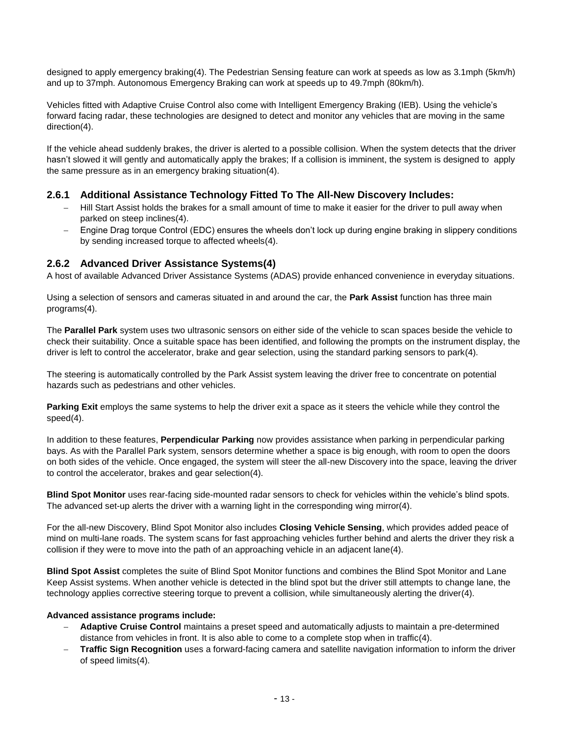designed to apply emergency braking(4). The Pedestrian Sensing feature can work at speeds as low as 3.1mph (5km/h) and up to 37mph. Autonomous Emergency Braking can work at speeds up to 49.7mph (80km/h).

Vehicles fitted with Adaptive Cruise Control also come with Intelligent Emergency Braking (IEB). Using the vehicle's forward facing radar, these technologies are designed to detect and monitor any vehicles that are moving in the same direction(4).

If the vehicle ahead suddenly brakes, the driver is alerted to a possible collision. When the system detects that the driver hasn't slowed it will gently and automatically apply the brakes; If a collision is imminent, the system is designed to apply the same pressure as in an emergency braking situation(4).

# **2.6.1 Additional Assistance Technology Fitted To The All-New Discovery Includes:**

- Hill Start Assist holds the brakes for a small amount of time to make it easier for the driver to pull away when parked on steep inclines(4).
- Engine Drag torque Control (EDC) ensures the wheels don't lock up during engine braking in slippery conditions by sending increased torque to affected wheels(4).

#### **2.6.2 Advanced Driver Assistance Systems(4)**

A host of available Advanced Driver Assistance Systems (ADAS) provide enhanced convenience in everyday situations.

Using a selection of sensors and cameras situated in and around the car, the **Park Assist** function has three main programs(4).

The **Parallel Park** system uses two ultrasonic sensors on either side of the vehicle to scan spaces beside the vehicle to check their suitability. Once a suitable space has been identified, and following the prompts on the instrument display, the driver is left to control the accelerator, brake and gear selection, using the standard parking sensors to park(4).

The steering is automatically controlled by the Park Assist system leaving the driver free to concentrate on potential hazards such as pedestrians and other vehicles.

**Parking Exit** employs the same systems to help the driver exit a space as it steers the vehicle while they control the speed(4).

In addition to these features, **Perpendicular Parking** now provides assistance when parking in perpendicular parking bays. As with the Parallel Park system, sensors determine whether a space is big enough, with room to open the doors on both sides of the vehicle. Once engaged, the system will steer the all-new Discovery into the space, leaving the driver to control the accelerator, brakes and gear selection(4).

**Blind Spot Monitor** uses rear-facing side-mounted radar sensors to check for vehicles within the vehicle's blind spots. The advanced set-up alerts the driver with a warning light in the corresponding wing mirror(4).

For the all-new Discovery, Blind Spot Monitor also includes **Closing Vehicle Sensing**, which provides added peace of mind on multi-lane roads. The system scans for fast approaching vehicles further behind and alerts the driver they risk a collision if they were to move into the path of an approaching vehicle in an adjacent lane(4).

**Blind Spot Assist** completes the suite of Blind Spot Monitor functions and combines the Blind Spot Monitor and Lane Keep Assist systems. When another vehicle is detected in the blind spot but the driver still attempts to change lane, the technology applies corrective steering torque to prevent a collision, while simultaneously alerting the driver(4).

#### **Advanced assistance programs include:**

- **Adaptive Cruise Control** maintains a preset speed and automatically adjusts to maintain a pre-determined distance from vehicles in front. It is also able to come to a complete stop when in traffic(4).
- **Traffic Sign Recognition** uses a forward-facing camera and satellite navigation information to inform the driver of speed limits(4).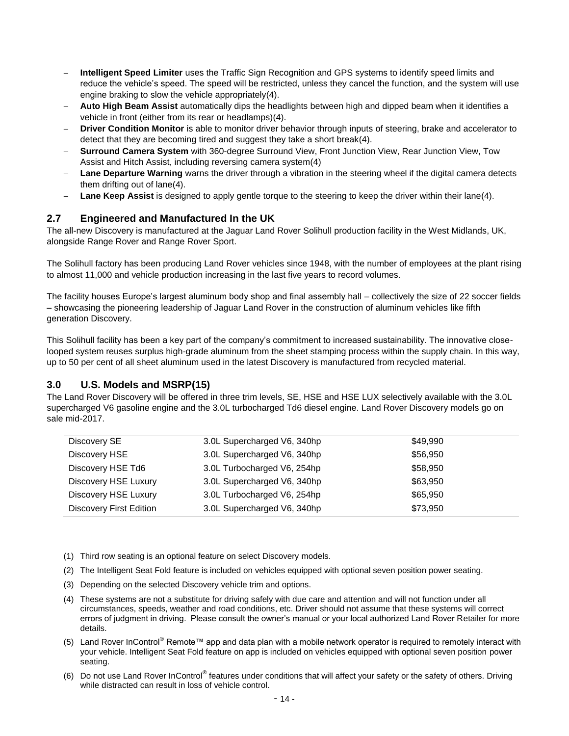- **Intelligent Speed Limiter** uses the Traffic Sign Recognition and GPS systems to identify speed limits and reduce the vehicle's speed. The speed will be restricted, unless they cancel the function, and the system will use engine braking to slow the vehicle appropriately(4).
- **Auto High Beam Assist** automatically dips the headlights between high and dipped beam when it identifies a vehicle in front (either from its rear or headlamps)(4).
- **Driver Condition Monitor** is able to monitor driver behavior through inputs of steering, brake and accelerator to detect that they are becoming tired and suggest they take a short break(4).
- **Surround Camera System** with 360-degree Surround View, Front Junction View, Rear Junction View, Tow Assist and Hitch Assist, including reversing camera system(4)
- **Lane Departure Warning** warns the driver through a vibration in the steering wheel if the digital camera detects them drifting out of lane(4).
- **Lane Keep Assist** is designed to apply gentle torque to the steering to keep the driver within their lane(4).

# **2.7 Engineered and Manufactured In the UK**

The all-new Discovery is manufactured at the Jaguar Land Rover Solihull production facility in the West Midlands, UK, alongside Range Rover and Range Rover Sport.

The Solihull factory has been producing Land Rover vehicles since 1948, with the number of employees at the plant rising to almost 11,000 and vehicle production increasing in the last five years to record volumes.

The facility houses Europe's largest aluminum body shop and final assembly hall – collectively the size of 22 soccer fields – showcasing the pioneering leadership of Jaguar Land Rover in the construction of aluminum vehicles like fifth generation Discovery.

This Solihull facility has been a key part of the company's commitment to increased sustainability. The innovative closelooped system reuses surplus high-grade aluminum from the sheet stamping process within the supply chain. In this way, up to 50 per cent of all sheet aluminum used in the latest Discovery is manufactured from recycled material.

# **3.0 U.S. Models and MSRP(15)**

The Land Rover Discovery will be offered in three trim levels, SE, HSE and HSE LUX selectively available with the 3.0L supercharged V6 gasoline engine and the 3.0L turbocharged Td6 diesel engine. Land Rover Discovery models go on sale mid-2017.

| Discovery SE                   | 3.0L Supercharged V6, 340hp | \$49,990 |
|--------------------------------|-----------------------------|----------|
| Discovery HSE                  | 3.0L Supercharged V6, 340hp | \$56,950 |
| Discovery HSE Td6              | 3.0L Turbocharged V6, 254hp | \$58,950 |
| Discovery HSE Luxury           | 3.0L Supercharged V6, 340hp | \$63,950 |
| <b>Discovery HSE Luxury</b>    | 3.0L Turbocharged V6, 254hp | \$65,950 |
| <b>Discovery First Edition</b> | 3.0L Supercharged V6, 340hp | \$73,950 |

- (1) Third row seating is an optional feature on select Discovery models.
- (2) The Intelligent Seat Fold feature is included on vehicles equipped with optional seven position power seating.
- (3) Depending on the selected Discovery vehicle trim and options.
- (4) These systems are not a substitute for driving safely with due care and attention and will not function under all circumstances, speeds, weather and road conditions, etc. Driver should not assume that these systems will correct errors of judgment in driving. Please consult the owner's manual or your local authorized Land Rover Retailer for more details.
- (5) Land Rover InControl® Remote™ app and data plan with a mobile network operator is required to remotely interact with your vehicle. Intelligent Seat Fold feature on app is included on vehicles equipped with optional seven position power seating.
- (6) Do not use Land Rover InControl® features under conditions that will affect your safety or the safety of others. Driving while distracted can result in loss of vehicle control.